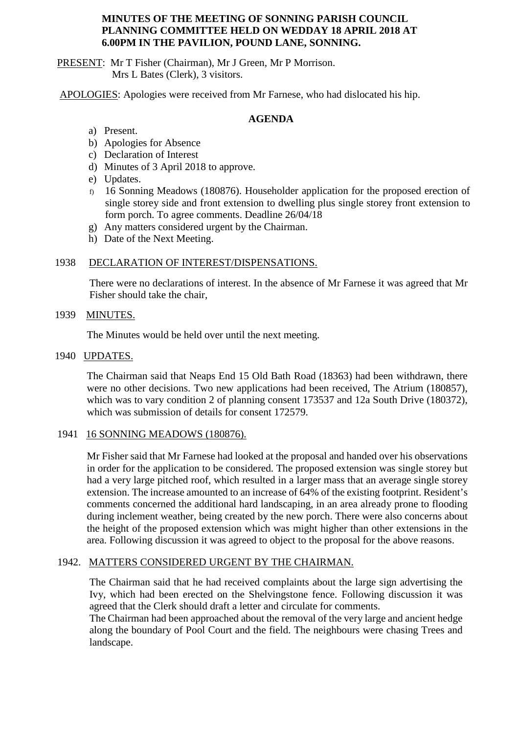## **MINUTES OF THE MEETING OF SONNING PARISH COUNCIL PLANNING COMMITTEE HELD ON WEDDAY 18 APRIL 2018 AT 6.00PM IN THE PAVILION, POUND LANE, SONNING.**

PRESENT: Mr T Fisher (Chairman), Mr J Green, Mr P Morrison. Mrs L Bates (Clerk), 3 visitors.

APOLOGIES: Apologies were received from Mr Farnese, who had dislocated his hip.

# **AGENDA**

- a) Present.
- b) Apologies for Absence
- c) Declaration of Interest
- d) Minutes of 3 April 2018 to approve.
- e) Updates.
- f) 16 Sonning Meadows (180876). Householder application for the proposed erection of single storey side and front extension to dwelling plus single storey front extension to form porch. To agree comments. Deadline 26/04/18
- g) Any matters considered urgent by the Chairman.
- h) Date of the Next Meeting.

## 1938 DECLARATION OF INTEREST/DISPENSATIONS.

There were no declarations of interest. In the absence of Mr Farnese it was agreed that Mr Fisher should take the chair,

## 1939 MINUTES.

The Minutes would be held over until the next meeting.

## 1940 UPDATES.

The Chairman said that Neaps End 15 Old Bath Road (18363) had been withdrawn, there were no other decisions. Two new applications had been received, The Atrium (180857), which was to vary condition 2 of planning consent 173537 and 12a South Drive (180372), which was submission of details for consent 172579.

#### 1941 16 SONNING MEADOWS (180876).

Mr Fisher said that Mr Farnese had looked at the proposal and handed over his observations in order for the application to be considered. The proposed extension was single storey but had a very large pitched roof, which resulted in a larger mass that an average single storey extension. The increase amounted to an increase of 64% of the existing footprint. Resident's comments concerned the additional hard landscaping, in an area already prone to flooding during inclement weather, being created by the new porch. There were also concerns about the height of the proposed extension which was might higher than other extensions in the area. Following discussion it was agreed to object to the proposal for the above reasons.

#### 1942. MATTERS CONSIDERED URGENT BY THE CHAIRMAN.

The Chairman said that he had received complaints about the large sign advertising the Ivy, which had been erected on the Shelvingstone fence. Following discussion it was agreed that the Clerk should draft a letter and circulate for comments.

The Chairman had been approached about the removal of the very large and ancient hedge along the boundary of Pool Court and the field. The neighbours were chasing Trees and landscape.